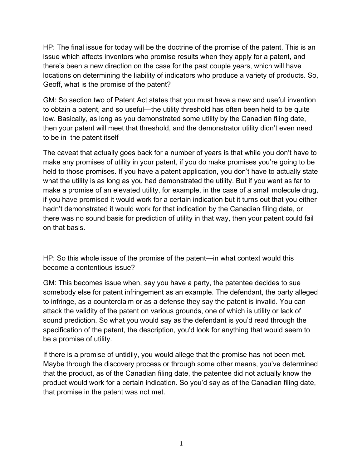HP: The final issue for today will be the doctrine of the promise of the patent. This is an issue which affects inventors who promise results when they apply for a patent, and there's been a new direction on the case for the past couple years, which will have locations on determining the liability of indicators who produce a variety of products. So, Geoff, what is the promise of the patent?

GM: So section two of Patent Act states that you must have a new and useful invention to obtain a patent, and so useful—the utility threshold has often been held to be quite low. Basically, as long as you demonstrated some utility by the Canadian filing date, then your patent will meet that threshold, and the demonstrator utility didn't even need to be in the patent itself

The caveat that actually goes back for a number of years is that while you don't have to make any promises of utility in your patent, if you do make promises you're going to be held to those promises. If you have a patent application, you don't have to actually state what the utility is as long as you had demonstrated the utility. But if you went as far to make a promise of an elevated utility, for example, in the case of a small molecule drug, if you have promised it would work for a certain indication but it turns out that you either hadn't demonstrated it would work for that indication by the Canadian filing date, or there was no sound basis for prediction of utility in that way, then your patent could fail on that basis.

HP: So this whole issue of the promise of the patent—in what context would this become a contentious issue?

GM: This becomes issue when, say you have a party, the patentee decides to sue somebody else for patent infringement as an example. The defendant, the party alleged to infringe, as a counterclaim or as a defense they say the patent is invalid. You can attack the validity of the patent on various grounds, one of which is utility or lack of sound prediction. So what you would say as the defendant is you'd read through the specification of the patent, the description, you'd look for anything that would seem to be a promise of utility.

If there is a promise of untidily, you would allege that the promise has not been met. Maybe through the discovery process or through some other means, you've determined that the product, as of the Canadian filing date, the patentee did not actually know the product would work for a certain indication. So you'd say as of the Canadian filing date, that promise in the patent was not met.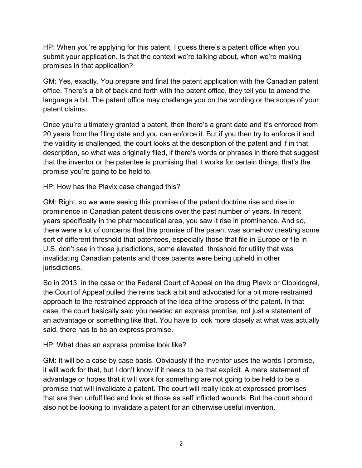HP: When you're applying for this patent, I guess there's a patent office when you submit your application. Is that the context we're talking about, when we're making promises in that application?

GM: Yes, exactly. You prepare and final the patent application with the Canadian patent office. There's a bit of back and forth with the patent office, they tell you to amend the language a bit. The patent office may challenge you on the wording or the scope of your patent claims.

Once you're ultimately granted a patent, then there's a grant date and it's enforced from 20 years from the filing date and you can enforce it. But if you then try to enforce it and the validity is challenged, the court looks at the description of the patent and if in that description, so what was originally filed, if there's words or phrases in there that suggest that the inventor or the patentee is promising that it works for certain things, that's the promise you're going to be held to.

HP: How has the Plavix case changed this?

GM: Right, so we were seeing this promise of the patent doctrine rise and rise in prominence in Canadian patent decisions over the past number of years. In recent years specifically in the pharmaceutical area, you saw it rise in prominence. And so, there were a lot of concerns that this promise of the patent was somehow creating some sort of different threshold that patentees, especially those that file in Europe or file in U.S, don't see in those jurisdictions, some elevated threshold for utility that was invalidating Canadian patents and those patents were being upheld in other jurisdictions.

So in 2013, in the case or the Federal Court of Appeal on the drug Plavix or Clopidogrel, the Court of Appeal pulled the reins back a bit and advocated for a bit more restrained approach to the restrained approach of the idea of the process of the patent. In that case, the court basically said you needed an express promise, not just a statement of an advantage or something like that. You have to look more closely at what was actually said, there has to be an express promise.

HP: What does an express promise look like?

GM: It will be a case by case basis. Obviously if the inventor uses the words I promise, it will work for that, but I don't know if it needs to be that explicit. A mere statement of advantage or hopes that it will work for something are not going to be held to be a promise that will invalidate a patent. The court will really look at expressed promises that are then unfulfilled and look at those as self inflicted wounds. But the court should also not be looking to invalidate a patent for an otherwise useful invention.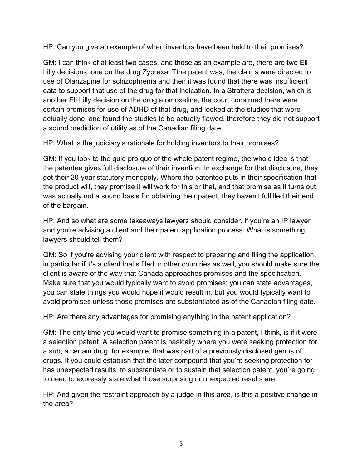HP: Can you give an example of when inventors have been held to their promises?

GM: I can think of at least two cases, and those as an example are, there are two Eli Lilly decisions, one on the drug Zyprexa. Tthe patent was, the claims were directed to use of Olanzapine for schizophrenia and then it was found that there was insufficient data to support that use of the drug for that indication. In a Strattera decision, which is another Eli Lilly decision on the drug atomoxetine, the court construed there were certain promises for use of ADHD of that drug, and looked at the studies that were actually done, and found the studies to be actually flawed, therefore they did not support a sound prediction of utility as of the Canadian filing date.

HP: What is the judiciary's rationale for holding inventors to their promises?

GM: If you look to the quid pro quo of the whole patent regime, the whole idea is that the patentee gives full disclosure of their invention. In exchange for that disclosure, they get their 20-year statutory monopoly. Where the patentee puts in their specification that the product will, they promise it will work for this or that, and that promise as it turns out was actually not a sound basis for obtaining their patent, they haven't fulfilled their end of the bargain.

HP: And so what are some takeaways lawyers should consider, if you're an IP lawyer and you're advising a client and their patent application process. What is something lawyers should tell them?

GM: So if you're advising your client with respect to preparing and filing the application, in particular if it's a client that's filed in other countries as well, you should make sure the client is aware of the way that Canada approaches promises and the specification. Make sure that you would typically want to avoid promises; you can state advantages, you can state things you would hope it would result in, but you would typically want to avoid promises unless those promises are substantiated as of the Canadian filing date.

HP: Are there any advantages for promising anything in the patent application?

GM: The only time you would want to promise something in a patent, I think, is if it were a selection patent. A selection patent is basically where you were seeking protection for a sub, a certain drug, for example, that was part of a previously disclosed genus of drugs. If you could establish that the later compound that you're seeking protection for has unexpected results, to substantiate or to sustain that selection patent, you're going to need to expressly state what those surprising or unexpected results are.

HP: And given the restraint approach by a judge in this area, is this a positive change in the area?